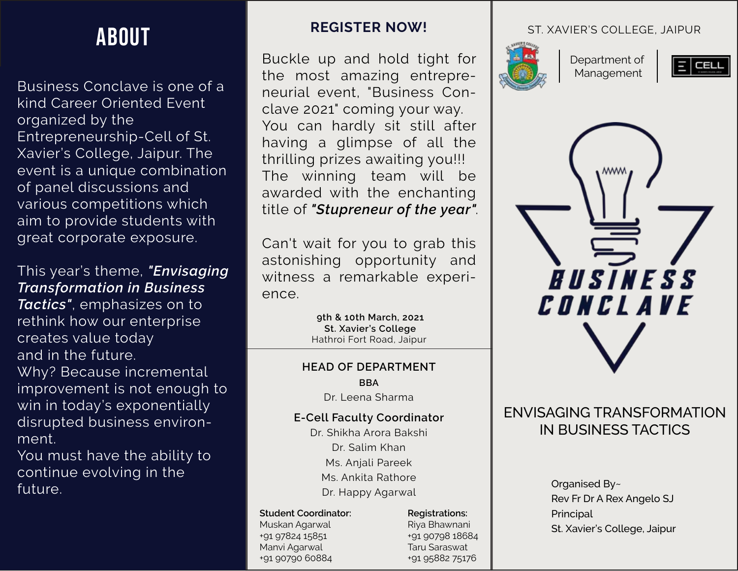# ABOUT

Business Conclave is one of a Business Conclave is one of a kind Career Oriented Event kind Career Oriented Event organized by the organized by the Entrepreneurship-Cell of St. Entrepreneurship-Cell of St. Xavier's College, Jaipur. The Xavier's College, Jaipur. The event is a unique combination event is a unique combination of panel discussions and of panel discussions and various competitions which various competitions which aim to provide students with aim to provide students with great corporate exposure. great corporate exposure.

This year's theme, *"Envisaging* This year's theme, *"Envisaging Transformation in Business Transformation in Business* Tactics", emphasizes on to rethink how our enterprise creates value today creates value today and in the future.  $\frac{1}{2}$ Why? Because incremental improvement is not enough to win in today's exponentially disrupted business environ-disrupted business environment. ment.

You must have the ability to continue evolving in the future.

## **REGISTER NOW!**

Buckle up and hold tight for the most amazing entrepreneurial event, "Business Conclave 2021" coming your way. You can hardly sit still after having a glimpse of all the thrilling prizes awaiting you!!! The winning team will be awarded with the enchanting title of *"Stupreneur of the year"*.

Can't wait for you to grab this astonishing opportunity and witness a remarkable experience.

> **9th & 10th March, 2021 St. Xavier's College** Hathroi Fort Road, Jaipur

#### **BBA Marketing Vertical HEAD OF DEPARTMENT** Dr. Leena Sharma

### **E-Cell Faculty Coordinator**

**Finance Vertical** Anshu Maheshwari Manvi Agarwal Ms. Anjali Pareek +91 94140 70532 +91 90790 60884 Ms. Ankita Rathore +91 96604 63034 +91 91115 60275 Dr. Shikha Arora Bakshi **Student Coordinator: Management Casebook** Dr. Salim Khan **Registrations:** Dr. Happy Agarwal

### **Student Coordinator:**

Muskan Agarwal +91 97824 15851 Manvi Agarwal +91 90790 60884

**Registrations:** +91 90798 18684 Riya Bhawnani Taru Saraswat +91 90798 18684 **Taru Saraswat** +91 95882 75176

### ST. XAVIER'S COLLEGE, JAIPUR



Department of Management





# ENVISAGING TRANSFORMATION IN BUSINESS TACTICS

Organised By~ Rev Fr Dr A Rex Angelo SJ Principal St. Xavier's College, Jaipur